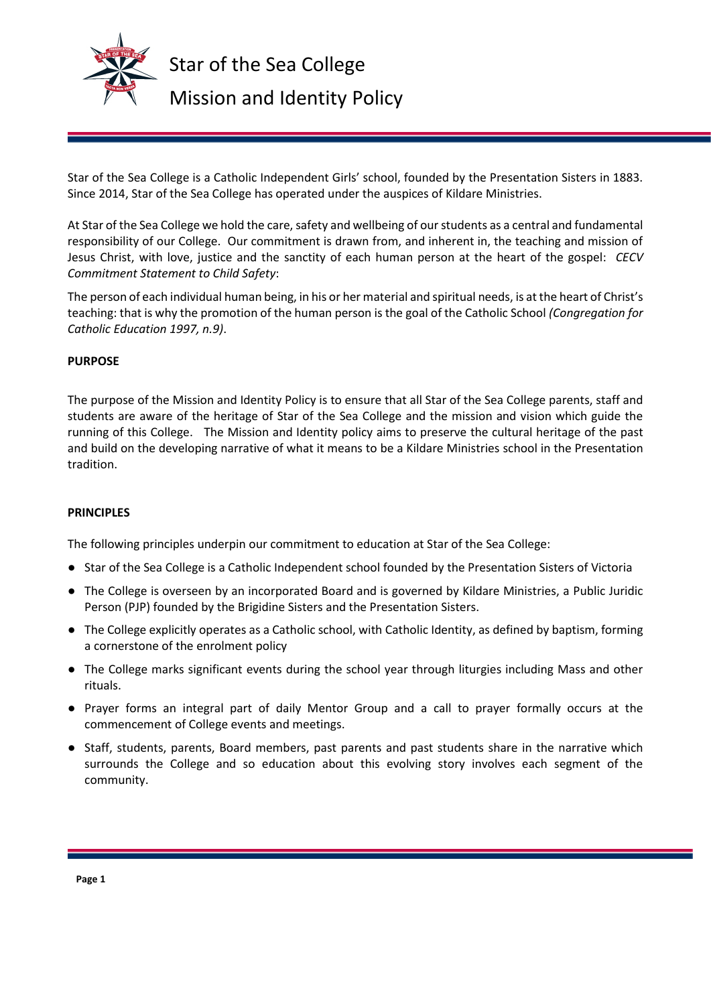

Star of the Sea College is a Catholic Independent Girls' school, founded by the Presentation Sisters in 1883. Since 2014, Star of the Sea College has operated under the auspices of Kildare Ministries.

At Star of the Sea College we hold the care, safety and wellbeing of our students as a central and fundamental responsibility of our College. Our commitment is drawn from, and inherent in, the teaching and mission of Jesus Christ, with love, justice and the sanctity of each human person at the heart of the gospel: *CECV Commitment Statement to Child Safety*:

The person of each individual human being, in his or her material and spiritual needs, is at the heart of Christ's teaching: that is why the promotion of the human person is the goal of the Catholic School *(Congregation for Catholic Education 1997, n.9)*.

## **PURPOSE**

The purpose of the Mission and Identity Policy is to ensure that all Star of the Sea College parents, staff and students are aware of the heritage of Star of the Sea College and the mission and vision which guide the running of this College. The Mission and Identity policy aims to preserve the cultural heritage of the past and build on the developing narrative of what it means to be a Kildare Ministries school in the Presentation tradition.

### **PRINCIPLES**

The following principles underpin our commitment to education at Star of the Sea College:

- Star of the Sea College is a Catholic Independent school founded by the Presentation Sisters of Victoria
- The College is overseen by an incorporated Board and is governed by Kildare Ministries, a Public Juridic Person (PJP) founded by the Brigidine Sisters and the Presentation Sisters.
- The College explicitly operates as a Catholic school, with Catholic Identity, as defined by baptism, forming a cornerstone of the enrolment policy
- The College marks significant events during the school year through liturgies including Mass and other rituals.
- Prayer forms an integral part of daily Mentor Group and a call to prayer formally occurs at the commencement of College events and meetings.
- Staff, students, parents, Board members, past parents and past students share in the narrative which surrounds the College and so education about this evolving story involves each segment of the community.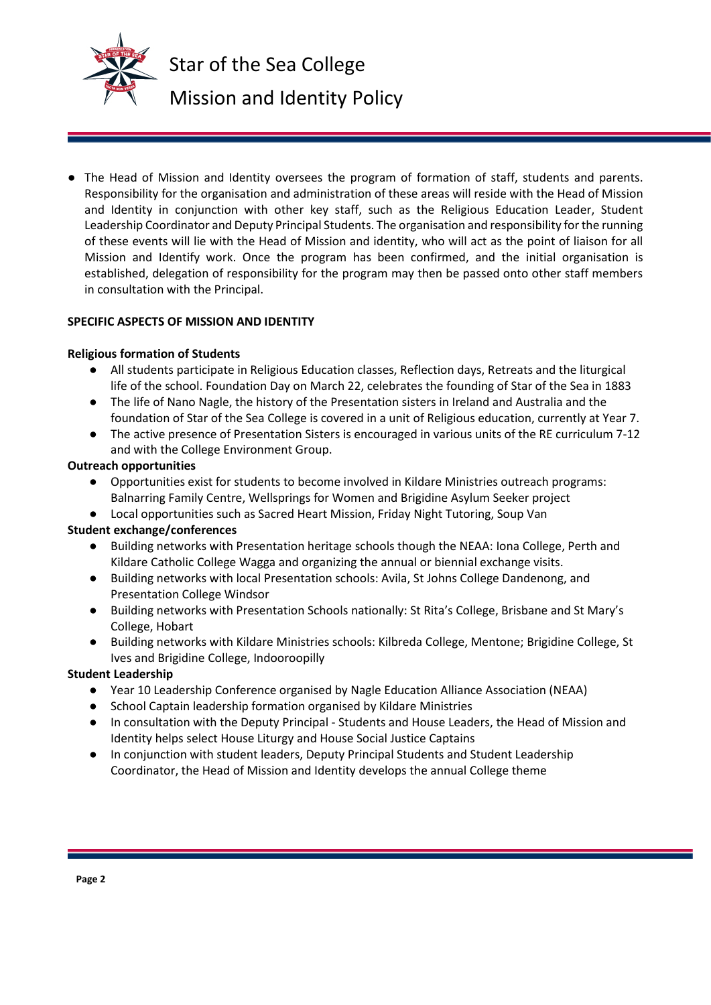

● The Head of Mission and Identity oversees the program of formation of staff, students and parents. Responsibility for the organisation and administration of these areas will reside with the Head of Mission and Identity in conjunction with other key staff, such as the Religious Education Leader, Student Leadership Coordinator and Deputy Principal Students. The organisation and responsibility for the running of these events will lie with the Head of Mission and identity, who will act as the point of liaison for all Mission and Identify work. Once the program has been confirmed, and the initial organisation is established, delegation of responsibility for the program may then be passed onto other staff members in consultation with the Principal.

## **SPECIFIC ASPECTS OF MISSION AND IDENTITY**

## **Religious formation of Students**

- All students participate in Religious Education classes, Reflection days, Retreats and the liturgical life of the school. Foundation Day on March 22, celebrates the founding of Star of the Sea in 1883
- The life of Nano Nagle, the history of the Presentation sisters in Ireland and Australia and the foundation of Star of the Sea College is covered in a unit of Religious education, currently at Year 7.
- The active presence of Presentation Sisters is encouraged in various units of the RE curriculum 7-12 and with the College Environment Group.

### **Outreach opportunities**

- Opportunities exist for students to become involved in Kildare Ministries outreach programs: Balnarring Family Centre, Wellsprings for Women and Brigidine Asylum Seeker project
- Local opportunities such as Sacred Heart Mission, Friday Night Tutoring, Soup Van

# **Student exchange/conferences**

- Building networks with Presentation heritage schools though the NEAA: Iona College, Perth and Kildare Catholic College Wagga and organizing the annual or biennial exchange visits.
- Building networks with local Presentation schools: Avila, St Johns College Dandenong, and Presentation College Windsor
- Building networks with Presentation Schools nationally: St Rita's College, Brisbane and St Mary's College, Hobart
- Building networks with Kildare Ministries schools: Kilbreda College, Mentone; Brigidine College, St Ives and Brigidine College, Indooroopilly

# **Student Leadership**

- Year 10 Leadership Conference organised by Nagle Education Alliance Association (NEAA)
- School Captain leadership formation organised by Kildare Ministries
- In consultation with the Deputy Principal Students and House Leaders, the Head of Mission and Identity helps select House Liturgy and House Social Justice Captains
- In conjunction with student leaders, Deputy Principal Students and Student Leadership Coordinator, the Head of Mission and Identity develops the annual College theme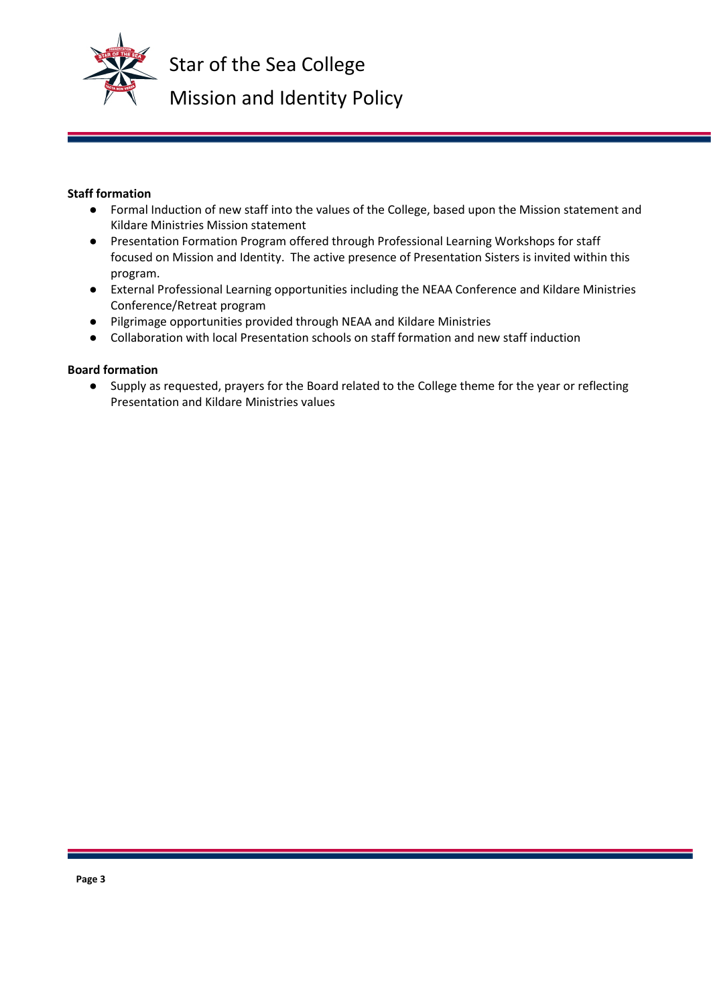

Star of the Sea College Mission and Identity Policy

## **Staff formation**

- Formal Induction of new staff into the values of the College, based upon the Mission statement and Kildare Ministries Mission statement
- Presentation Formation Program offered through Professional Learning Workshops for staff focused on Mission and Identity. The active presence of Presentation Sisters is invited within this program.
- External Professional Learning opportunities including the NEAA Conference and Kildare Ministries Conference/Retreat program
- Pilgrimage opportunities provided through NEAA and Kildare Ministries
- Collaboration with local Presentation schools on staff formation and new staff induction

# **Board formation**

● Supply as requested, prayers for the Board related to the College theme for the year or reflecting Presentation and Kildare Ministries values